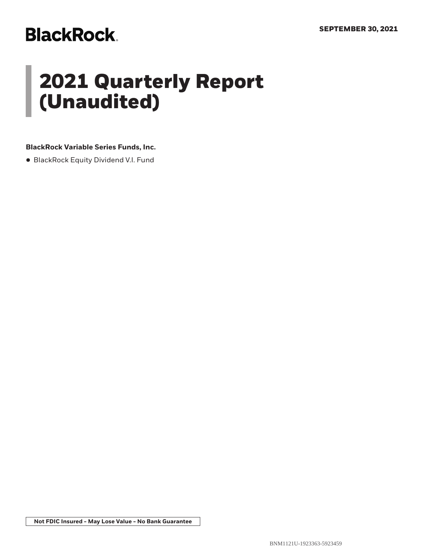# **BlackRock.**

# **2021 Quarterly Report (Unaudited)**

## **BlackRock Variable Series Funds, Inc.**

• BlackRock Equity Dividend V.I. Fund

**Not FDIC Insured - May Lose Value - No Bank Guarantee**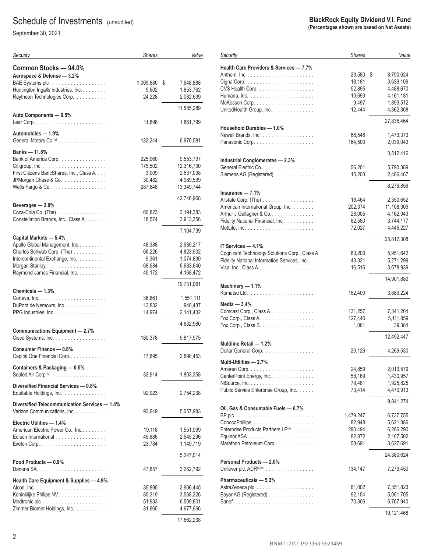# Schedule of Investments (unaudited)

September 30, 2021

| Security                                      | <b>Shares</b> | Value           |
|-----------------------------------------------|---------------|-----------------|
| Common Stocks - 94.0%                         |               |                 |
| Aerospace & Defense - 3.2%                    |               |                 |
|                                               | 1,009,880     | 7,648,888<br>\$ |
| Huntington Ingalls Industries, Inc.           | 9,602         | 1,853,762       |
| Raytheon Technologies Corp.                   | 24,228        | 2,082,639       |
|                                               |               |                 |
| Auto Components - 0.5%                        |               | 11,585,289      |
|                                               | 11,898        | 1,861,799       |
|                                               |               |                 |
| Automobiles - 1.9%                            |               |                 |
| General Motors Co. <sup>(a)</sup>             | 132,244       | 6,970,581       |
| Banks — 11.8%                                 |               |                 |
| Bank of America Corp.                         | 225,060       | 9,553,797       |
|                                               | 175,502       | 12,316,730      |
| First Citizens BancShares, Inc., Class A.     | 3,009         | 2,537,098       |
| JPMorgan Chase & Co.                          | 30,482        | 4,989,599       |
|                                               | 287,648       | 13,349,744      |
|                                               |               |                 |
| Beverages — 2.0%                              |               | 42,746,968      |
|                                               |               | 3,191,383       |
| Coca-Cola Co. (The)                           | 60,823        |                 |
| Constellation Brands, Inc., Class A.          | 18,574        | 3,913,356       |
|                                               |               | 7,104,739       |
| Capital Markets - 5.4%                        |               |                 |
| Apollo Global Management, Inc                 | 48,388        | 2,980,217       |
| Charles Schwab Corp. (The)                    | 66,226        | 4,823,902       |
| Intercontinental Exchange, Inc.               | 9,361         | 1,074,830       |
|                                               | 68,684        | 6,683,640       |
| Raymond James Financial, Inc.                 | 45,172        | 4,168,472       |
|                                               |               | 19,731,061      |
| Chemicals - 1.3%                              |               |                 |
|                                               | 36,861        | 1,551,111       |
| DuPont de Nemours, Inc.                       | 13,832        | 940,437         |
| PPG Industries, Inc.                          | 14,974        | 2,141,432       |
|                                               |               | 4,632,980       |
| <b>Communications Equipment - 2.7%</b>        |               |                 |
| Cisco Systems, Inc.                           | 180,378       | 9,817,975       |
| Consumer Finance - 0.8%                       |               |                 |
| Capital One Financial Corp                    | 17,895        | 2,898,453       |
|                                               |               |                 |
| Containers & Packaging — 0.5%                 |               |                 |
| Sealed Air Corp. <sup>(b)</sup>               | 32,914        | 1,803,358       |
| Diversified Financial Services - 0.8%         |               |                 |
| Equitable Holdings, Inc.                      | 92,923        | 2,754,238       |
|                                               |               |                 |
| Diversified Telecommunication Services - 1.4% |               |                 |
| Verizon Communications, Inc.                  | 93,649        | 5,057,983       |
| Electric Utilities — 1.4%                     |               |                 |
| American Electric Power Co., Inc              | 19,118        | 1,551,999       |
| Edison International                          | 45,886        | 2,545,296       |
|                                               | 23,784        | 1,149,719       |
|                                               |               |                 |
|                                               |               | 5,247,014       |
| Food Products — 0.9%                          |               |                 |
| Danone SA.                                    | 47,857        | 3,262,792       |
| Health Care Equipment & Supplies - 4.9%       |               |                 |
|                                               | 35,895        | 2,906,445       |
| Koninklijke Philips NV.                       | 80,319        | 3,568,326       |
| Medtronic plc                                 | 51,933        | 6,509,801       |
| Zimmer Biomet Holdings, Inc.                  | 31,960        | 4,677,666       |
|                                               |               | 17662238        |

#### **BlackRock Equity Dividend V.I. Fund (Percentages shown are based on Net Assets)**

| Security                                                        | <b>Shares</b> | Value           |
|-----------------------------------------------------------------|---------------|-----------------|
| Health Care Providers & Services - 7.7%                         |               |                 |
|                                                                 | 23,580        | \$<br>8,790,624 |
|                                                                 | 18,181        | 3,639,109       |
| CVS Health Corp.                                                | 52,895        | 4,488,670       |
|                                                                 |               |                 |
|                                                                 | 10,693        | 4,161,181       |
| McKesson Corp. $\dots\dots\dots\dots\dots\dots\dots\dots$       | 9,497         | 1,893,512       |
| UnitedHealth Group, Inc                                         | 12,444        | 4,862,368       |
|                                                                 |               | 27,835,464      |
| Household Durables - 1.0%                                       |               |                 |
| Newell Brands, Inc.                                             | 66,548        | 1,473,373       |
|                                                                 | 164,500       | 2,039,043       |
|                                                                 |               |                 |
|                                                                 |               | 3,512,416       |
| <b>Industrial Conglomerates - 2.3%</b>                          |               |                 |
| General Electric Co.                                            | 56,201        | 5,790,389       |
| Siemens AG (Registered)                                         | 15,203        | 2,486,467       |
|                                                                 |               |                 |
| Insurance — 7.1%                                                |               | 8,276,856       |
| Allstate Corp. (The)                                            | 18,464        | 2,350,652       |
| American International Group, Inc.                              | 202,374       | 11,108,309      |
|                                                                 |               |                 |
| Arthur J Gallagher & Co.                                        | 28,005        | 4,162,943       |
| Fidelity National Financial, Inc.                               | 82,580        | 3,744,177       |
|                                                                 | 72,027        | 4,446,227       |
|                                                                 |               | 25,812,308      |
| IT Services - 4.1%                                              |               |                 |
| Cognizant Technology Solutions Corp., Class A                   | 80,200        | 5,951,642       |
| Fidelity National Information Services, Inc.                    | 43,321        | 5,271,299       |
| Visa, Inc., Class A $\ldots \ldots \ldots \ldots \ldots \ldots$ | 16,516        | 3,678,939       |
|                                                                 |               |                 |
|                                                                 |               | 14,901,880      |
| Machinery - 1.1%                                                |               |                 |
|                                                                 | 162,400       | 3,889,224       |
| Media - 3.4%                                                    |               |                 |
| Comcast Corp., Class A                                          | 131,257       | 7,341,204       |
| Fox Corp., Class A. $\dots \dots \dots \dots \dots \dots$       | 127,446       | 5,111,859       |
| Fox Corp., Class B.                                             | 1,061         | 39,384          |
|                                                                 |               |                 |
|                                                                 |               | 12,492,447      |
| Multiline Retail - 1.2%                                         |               |                 |
| Dollar General Corp.<br>.                                       | 20,126        | 4,269,530       |
| Multi-Utilities - 2.7%                                          |               |                 |
|                                                                 | 24,859        | 2,013,579       |
| CenterPoint Energy, Inc.                                        | 58,169        | 1,430,957       |
|                                                                 | 79,481        | 1,925,825       |
| Public Service Enterprise Group, Inc.                           | 73,414        | 4,470,913       |
|                                                                 |               |                 |
|                                                                 |               | 9,841,274       |
| Oil, Gas & Consumable Fuels - 6.7%                              |               |                 |
|                                                                 | 1,479,247     | 6,737,755       |
|                                                                 | 82,948        | 5,621,386       |
| Enterprise Products Partners LP(b)                              | 290,494       | 6,286,290       |
|                                                                 | 82,872        | 2,107,502       |
| Marathon Petroleum Corp.                                        | 58,691        | 3,627,691       |
|                                                                 |               |                 |
| Personal Products - 2.0%                                        |               | 24,380,624      |
| Unilever plc, ADR <sup>(b)(c)</sup>                             | 134,147       | 7,273,450       |
|                                                                 |               |                 |
| Pharmaceuticals - 5.3%                                          |               |                 |
|                                                                 | 61,002        | 7,351,823       |
| Bayer AG (Registered)                                           | 92,154        | 5,001,705       |
|                                                                 | 70,306        | 6,767,940       |
|                                                                 |               |                 |
|                                                                 |               | 19,121,468      |

17,662,238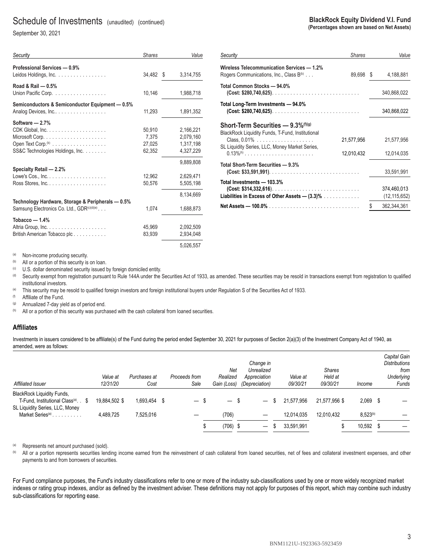## Schedule of Investments (unaudited) (continued)

September 30, 2021

| Security                                              | Shares    | Value     |
|-------------------------------------------------------|-----------|-----------|
| Professional Services — 0.9%<br>Leidos Holdings, Inc. | 34,482 \$ | 3,314,755 |
| Road & Rail - 0.5%                                    |           |           |
| Union Pacific Corp.                                   | 10,146    | 1,988,718 |
| Semiconductors & Semiconductor Equipment - 0.5%       |           |           |
| Analog Devices, Inc                                   | 11.293    | 1,891,352 |
| Software - 2.7%                                       |           |           |
|                                                       | 50,910    | 2,166,221 |
|                                                       | 7,375     | 2.079.160 |
| Open Text Corp. <sup>(b)</sup>                        | 27,025    | 1,317,198 |
| SS&C Technologies Holdings, Inc.                      | 62,352    | 4,327,229 |
|                                                       |           | 9.889.808 |
| <b>Specialty Retail - 2.2%</b>                        |           |           |
|                                                       | 12,962    | 2,629,471 |
|                                                       | 50,576    | 5,505,198 |
|                                                       |           | 8.134.669 |
| Technology Hardware, Storage & Peripherals - 0.5%     |           |           |
| Samsung Electronics Co. Ltd., GDR(c)(d)(e)            | 1,074     | 1,688,873 |
| Tobacco — 1.4%                                        |           |           |
|                                                       | 45,969    | 2,092,509 |
| British American Tobacco plc                          | 83,939    | 2,934,048 |
|                                                       |           | 5,026,557 |

| <b>BlackRock Equity Dividend V.I. Fund</b>  |
|---------------------------------------------|
| (Percentages shown are based on Net Assets) |

| Security                                                                                                              | <b>Shares</b> |    | Value                         |
|-----------------------------------------------------------------------------------------------------------------------|---------------|----|-------------------------------|
| Wireless Telecommunication Services — 1.2%<br>Rogers Communications, Inc., Class B <sup>(b)</sup>                     | 89,698        | S. | 4,188,881                     |
| Total Common Stocks — 94.0%                                                                                           |               |    | 340,868,022                   |
| Total Long-Term Investments - 94.0%                                                                                   |               |    | 340,868,022                   |
| Short-Term Securities — 9.3% <sup>(f)(g)</sup><br>BlackRock Liquidity Funds, T-Fund, Institutional<br>Class, $0.01\%$ | 21,577,956    |    | 21,577,956                    |
| SL Liquidity Series, LLC, Money Market Series,                                                                        | 12,010,432    |    | 12,014,035                    |
| Total Short-Term Securities — 9.3%                                                                                    |               |    | 33,591,991                    |
| Total Investments — 103.3%<br>$(Cost: $314, 332, 616)$<br>Liabilities in Excess of Other Assets — $(3.3)$ %           |               |    | 374,460,013<br>(12, 115, 652) |
|                                                                                                                       |               | \$ | 362,344,361                   |

(a) Non-income producing security.

(b) All or a portion of this security is on loan.<br>(c) U.S. dollar denominated security issued by foreign domiciled entity.

<sup>(d)</sup> Security exempt from registration pursuant to Rule 144A under the Securities Act of 1933, as amended. These securities may be resold in transactions exempt from registration to qualified institutional investors.

(e) This security may be resold to qualified foreign investors and foreign institutional buyers under Regulation S of the Securities Act of 1933.

(f) Affiliate of the Fund.

(g) Annualized 7-day yield as of period end.

(h) All or a portion of this security was purchased with the cash collateral from loaned securities.

#### **Affiliates**

Investments in issuers considered to be affiliate(s) of the Fund during the period ended September 30, 2021 for purposes of Section 2(a)(3) of the Investment Company Act of 1940, as amended, were as follows:

| Affiliated Issuer                                                                    | Value at<br>12/31/20 | Purchases at<br>Cost | Proceeds from<br>Sale            | Net<br>Realized<br>Gain (Loss)   | Change in<br>Unrealized<br>Appreciation<br>(Depreciation) | Value at<br>09/30/21 | <b>Shares</b><br>Held at<br>09/30/21 | Income        | Capital Gain<br><b>Distributions</b><br>from<br>Underlying<br>Funds |
|--------------------------------------------------------------------------------------|----------------------|----------------------|----------------------------------|----------------------------------|-----------------------------------------------------------|----------------------|--------------------------------------|---------------|---------------------------------------------------------------------|
| <b>BlackRock Liquidity Funds.</b><br>T-Fund, Institutional Class <sup>(a)</sup> . \$ | 19.884.502 \$        | 1,693,454            | - \$<br>$\overline{\phantom{m}}$ | - \$<br>$\overline{\phantom{0}}$ |                                                           | 21,577,956<br>S      | 21.577.956 \$                        | $2,069$ \$    |                                                                     |
| SL Liquidity Series, LLC, Money<br>Market Series <sup>(a)</sup>                      | 4.489.725            | 7.525.016            |                                  | (706)                            | $\overline{\phantom{0}}$                                  | 12.014.035           | 12.010.432                           | $8.523^{(b)}$ |                                                                     |
|                                                                                      |                      |                      |                                  | $(706)$ \$                       | $\overline{\phantom{0}}$                                  | 33,591,991<br>S      |                                      | 10,592 \$     |                                                                     |

(a) Represents net amount purchased (sold).<br>(b) All or a portion represents securities leng

All or a portion represents securities lending income earned from the reinvestment of cash collateral from loaned securities, net of fees and collateral investment expenses, and other payments to and from borrowers of securities.

For Fund compliance purposes, the Fund's industry classifications refer to one or more of the industry sub-classifications used by one or more widely recognized market indexes or rating group indexes, and/or as defined by the investment adviser. These definitions may not apply for purposes of this report, which may combine such industry sub-classifications for reporting ease.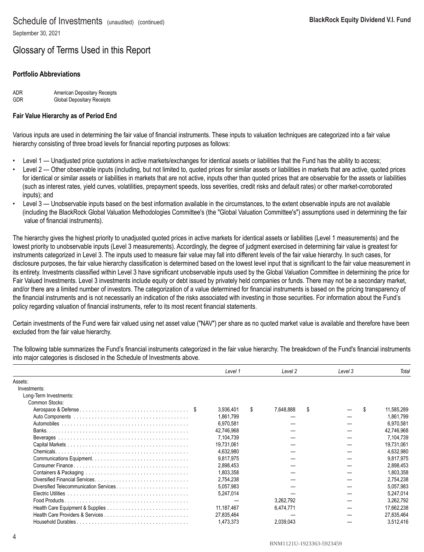# Glossary of Terms Used in this Report

### **Portfolio Abbreviations**

ADR **American Depositary Receipts**<br>
Global Depositary Receipts Global Depositary Receipts

### **Fair Value Hierarchy as of Period End**

Various inputs are used in determining the fair value of financial instruments. These inputs to valuation techniques are categorized into a fair value hierarchy consisting of three broad levels for financial reporting purposes as follows:

- Level 1 Unadjusted price quotations in active markets/exchanges for identical assets or liabilities that the Fund has the ability to access;
- Level 2 Other observable inputs (including, but not limited to, quoted prices for similar assets or liabilities in markets that are active, quoted prices for identical or similar assets or liabilities in markets that are not active, inputs other than quoted prices that are observable for the assets or liabilities (such as interest rates, yield curves, volatilities, prepayment speeds, loss severities, credit risks and default rates) or other market-corroborated inputs); and
- Level 3 Unobservable inputs based on the best information available in the circumstances, to the extent observable inputs are not available (including the BlackRock Global Valuation Methodologies Committee's (the "Global Valuation Committee's") assumptions used in determining the fair value of financial instruments).

The hierarchy gives the highest priority to unadjusted quoted prices in active markets for identical assets or liabilities (Level 1 measurements) and the lowest priority to unobservable inputs (Level 3 measurements). Accordingly, the degree of judgment exercised in determining fair value is greatest for instruments categorized in Level 3. The inputs used to measure fair value may fall into different levels of the fair value hierarchy. In such cases, for disclosure purposes, the fair value hierarchy classification is determined based on the lowest level input that is significant to the fair value measurement in its entirety. Investments classified within Level 3 have significant unobservable inputs used by the Global Valuation Committee in determining the price for Fair Valued Investments. Level 3 investments include equity or debt issued by privately held companies or funds. There may not be a secondary market, and/or there are a limited number of investors. The categorization of a value determined for financial instruments is based on the pricing transparency of the financial instruments and is not necessarily an indication of the risks associated with investing in those securities. For information about the Fund's policy regarding valuation of financial instruments, refer to its most recent financial statements.

Certain investments of the Fund were fair valued using net asset value ("NAV") per share as no quoted market value is available and therefore have been excluded from the fair value hierarchy.

The following table summarizes the Fund's financial instruments categorized in the fair value hierarchy. The breakdown of the Fund's financial instruments into major categories is disclosed in the Schedule of Investments above.

|                                        | Level 1    |     | Level 2   |   | Level 3 | Tota             |
|----------------------------------------|------------|-----|-----------|---|---------|------------------|
| Assets:                                |            |     |           |   |         |                  |
| Investments:                           |            |     |           |   |         |                  |
| Long-Term Investments:                 |            |     |           |   |         |                  |
| Common Stocks:                         |            |     |           |   |         |                  |
|                                        | 3,936,401  | \$. | 7,648,888 | S |         | \$<br>11,585,289 |
|                                        | 1,861,799  |     |           |   |         | 1,861,799        |
|                                        | 6,970,581  |     |           |   |         | 6,970,581        |
|                                        | 42.746.968 |     |           |   |         | 42,746,968       |
|                                        | 7.104.739  |     |           |   |         | 7,104,739        |
|                                        | 19.731.061 |     |           |   |         | 19.731.061       |
|                                        | 4.632.980  |     |           |   |         | 4,632,980        |
|                                        | 9,817,975  |     |           |   |         | 9,817,975        |
|                                        | 2.898.453  |     |           |   |         | 2,898,453        |
|                                        | 1,803,358  |     |           |   |         | 1,803,358        |
|                                        | 2,754,238  |     |           |   |         | 2,754,238        |
| Diversified Telecommunication Services | 5.057.983  |     |           |   |         | 5.057.983        |
| Electric Utilities                     | 5.247.014  |     |           |   |         | 5,247,014        |
|                                        |            |     | 3,262,792 |   |         | 3,262,792        |
|                                        | 11.187.467 |     | 6.474.771 |   |         | 17.662.238       |
|                                        | 27,835,464 |     |           |   |         | 27,835,464       |
|                                        | 1,473,373  |     | 2,039,043 |   |         | 3,512,416        |